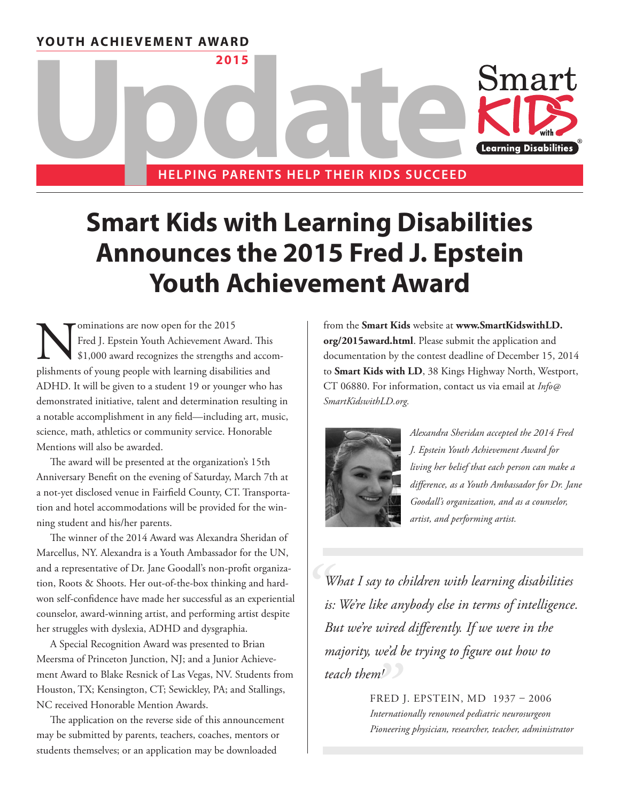**YOUTH ACHIEVEMENT AWARD**



# **Smart Kids with Learning Disabilities Announces the 2015 Fred J. Epstein Youth Achievement Award**

Sominations are now open for the 2015<br>Fred J. Epstein Youth Achievement Away<br>\$1,000 award recognizes the strengths and<br>the strengths of young people with learning disability Fred J. Epstein Youth Achievement Award. This \$1,000 award recognizes the strengths and accomplishments of young people with learning disabilities and ADHD. It will be given to a student 19 or younger who has demonstrated initiative, talent and determination resulting in a notable accomplishment in any field—including art, music, science, math, athletics or community service. Honorable Mentions will also be awarded.

The award will be presented at the organization's 15th Anniversary Benefit on the evening of Saturday, March 7th at a not-yet disclosed venue in Fairfield County, CT. Transportation and hotel accommodations will be provided for the winning student and his/her parents.

The winner of the 2014 Award was Alexandra Sheridan of Marcellus, NY. Alexandra is a Youth Ambassador for the UN, and a representative of Dr. Jane Goodall's non-profit organization, Roots & Shoots. Her out-of-the-box thinking and hardwon self-confidence have made her successful as an experiential counselor, award-winning artist, and performing artist despite her struggles with dyslexia, ADHD and dysgraphia.

A Special Recognition Award was presented to Brian Meersma of Princeton Junction, NJ; and a Junior Achievement Award to Blake Resnick of Las Vegas, NV. Students from Houston, TX; Kensington, CT; Sewickley, PA; and Stallings, NC received Honorable Mention Awards.

The application on the reverse side of this announcement may be submitted by parents, teachers, coaches, mentors or students themselves; or an application may be downloaded

from the **Smart Kids** website at **www.SmartKidswithLD. org/2015award.html**. Please submit the application and documentation by the contest deadline of December 15, 2014 to **Smart Kids with LD**, 38 Kings Highway North, Westport, CT 06880. For information, contact us via email at *Info@ SmartKidswithLD.org.*



*Alexandra Sheridan accepted the 2014 Fred J. Epstein Youth Achievement Award for living her belief that each person can make a difference, as a Youth Ambassador for Dr. Jane Goodall's organization, and as a counselor, artist, and performing artist.*

*" What I say to children with learning disabilities is: We're like anybody else in terms of intelligence. But we're wired differently. If we were in the majority, we'd be trying to figure out how to teach them!*

FRED J. EPSTEIN, MD 1937 – 2006 *Internationally renowned pediatric neurosurgeon Pioneering physician, researcher, teacher, administrator "*<br>FREE<br>*Interne*<br>*Pionee*